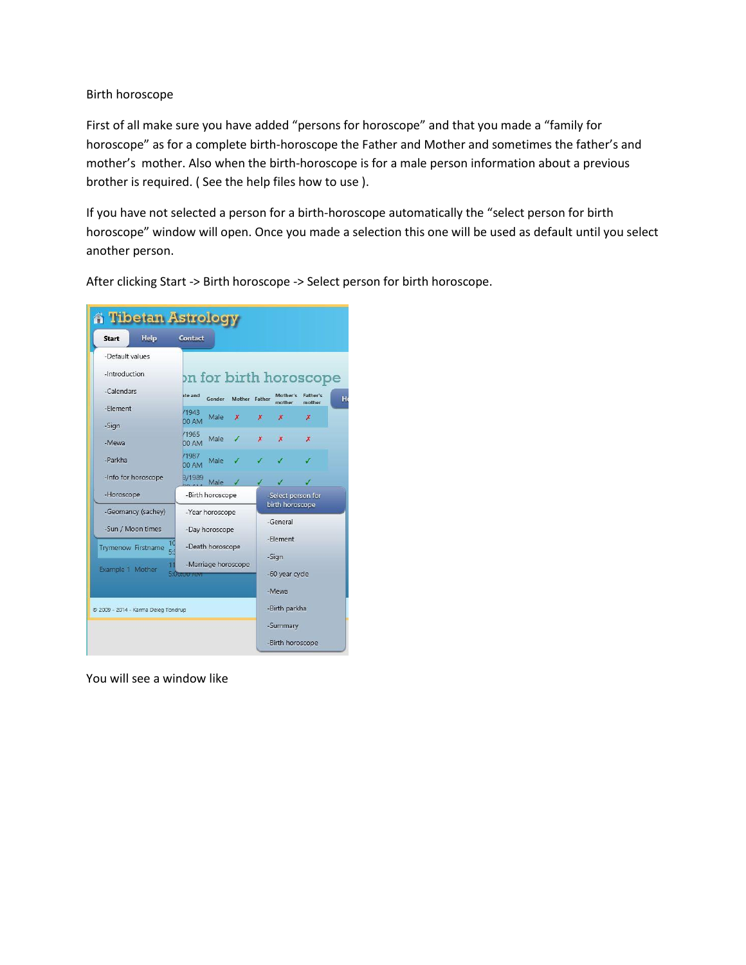## Birth horoscope

First of all make sure you have added "persons for horoscope" and that you made a "family for horoscope" as for a complete birth-horoscope the Father and Mother and sometimes the father's and mother's mother. Also when the birth-horoscope is for a male person information about a previous brother is required. ( See the help files how to use ).

If you have not selected a person for a birth-horoscope automatically the "select person for birth horoscope" window will open. Once you made a selection this one will be used as default until you select another person.

A Tibetan Astrology Help Contact Start -Default values -Introduction on for birth horoscope -Calendars Gender Mother Father Mother's<br>mother -Element /1943  $^{71943}_{00 \text{ AM}}$  Male **x** x -Sign  $/1965$  $\begin{array}{ccc} \sqrt{1965} \\ 00 \text{ AM} \end{array}$  Male  $\boldsymbol{\mathsf{x}}$  $\boldsymbol{\mathsf{x}}$  $\boldsymbol{\mathsf{x}}$ -Mewa /1987 1987<br>00 AM Male -Parkha -Info for horoscope 9/1989<br>00.41. Male -Horoscope -Birth horoscope elect person for birth horoscope -Geomancy (sachey) -Year horoscope -General -Sun / Moon times -Day horoscope -Element  $10$ Trymenow Firstname -Death horoscope -Sign -Marriage horoscope Example 1 Mother -60 year cycle -Mewa © 2009 - 2014 - Karma Deleg Tondrup -Birth parkha -Summary -Birth horoscope

After clicking Start -> Birth horoscope -> Select person for birth horoscope.

You will see a window like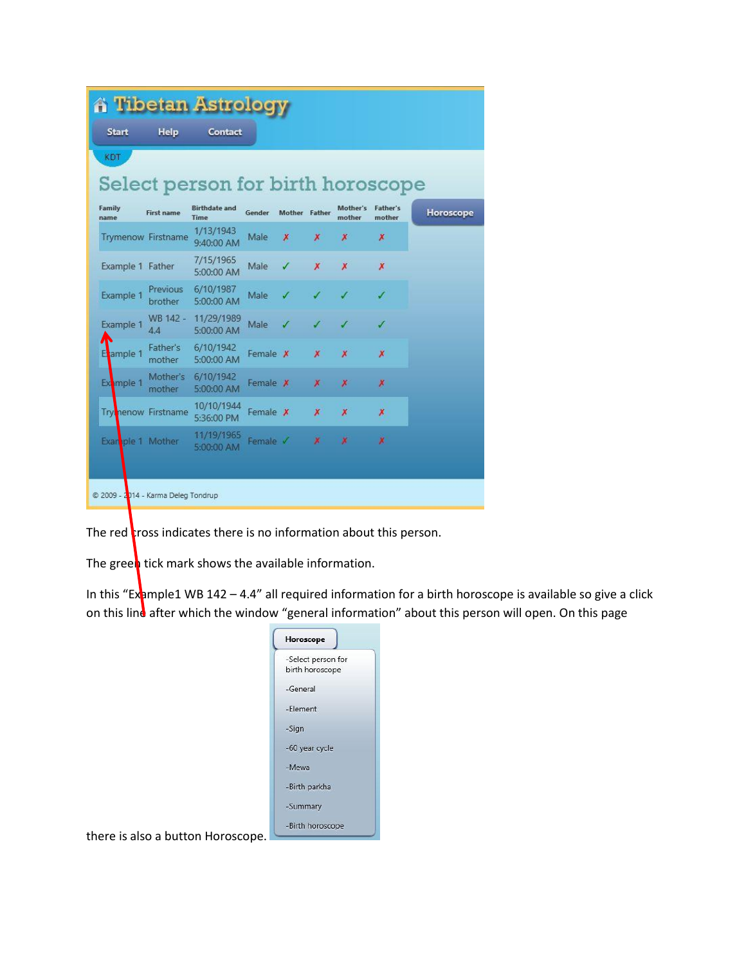|                |                       |                                     | <b>A Tibetan Astrology</b>        |          |                  |                  |                           |                           |           |  |
|----------------|-----------------------|-------------------------------------|-----------------------------------|----------|------------------|------------------|---------------------------|---------------------------|-----------|--|
|                | <b>Start</b>          | Help                                | Contact                           |          |                  |                  |                           |                           |           |  |
| KDT            |                       |                                     |                                   |          |                  |                  |                           |                           |           |  |
|                |                       |                                     | Select person for birth horoscope |          |                  |                  |                           |                           |           |  |
| Family<br>name |                       | <b>First name</b>                   | <b>Birthdate and</b><br>Time      | Gender   | Mother Father    |                  | Mother's<br>mother        | <b>Father's</b><br>mother | Horoscope |  |
|                |                       | <b>Trymenow Firstname</b>           | 1/13/1943<br>9:40:00 AM           | Male     | $\boldsymbol{x}$ | Х                | Х                         | x                         |           |  |
|                | Example 1 Father      |                                     | 7/15/1965<br>5:00:00 AM           | Male     |                  | X                | x                         | X                         |           |  |
|                | Example 1             | Previous<br>brother                 | 6/10/1987<br>5:00:00 AM           | Male     |                  |                  |                           |                           |           |  |
|                | Example 1             | WB 142 -<br>4.4                     | 11/29/1989<br>5:00:00 AM          | Male     |                  |                  |                           | ✓                         |           |  |
|                | ample 1               | Father's<br>mother                  | 6/10/1942<br>5:00:00 AM           | Female X |                  | $\boldsymbol{x}$ | $\boldsymbol{\mathsf{x}}$ | Х                         |           |  |
|                | Ext <sub>mple 1</sub> | Mother's<br>mother                  | 6/10/1942<br>5:00:00 AM           | Female # |                  | Х                | Х                         | Х                         |           |  |
|                |                       | <b>Trylnenow Firstname</b>          | 10/10/1944<br>5:36:00 PM          | Female X |                  | $\boldsymbol{x}$ | $\boldsymbol{x}$          | ×                         |           |  |
|                |                       | Exan ple 1 Mother                   | 11/19/1965<br>5:00:00 AM          | Female V |                  | $\mathbf x$      | ×                         | ×                         |           |  |
|                |                       |                                     |                                   |          |                  |                  |                           |                           |           |  |
|                |                       | © 2009 - 2014 - Karma Deleg Tondrup |                                   |          |                  |                  |                           |                           |           |  |

The red  $\frac{1}{2}$  ross indicates there is no information about this person.

The green tick mark shows the available information.

In this "Example1 WB 142 – 4.4" all required information for a birth horoscope is available so give a click on this line after which the window "general information" about this person will open. On this page

| Horoscope                             |
|---------------------------------------|
| -Select person for<br>birth horoscope |
| -General                              |
| -Element                              |
| -Sign                                 |
| -60 year cycle                        |
| -Mewa                                 |
| -Birth parkha                         |
| -Summary                              |
| -Birth horoscope                      |

there is also a button Horoscope.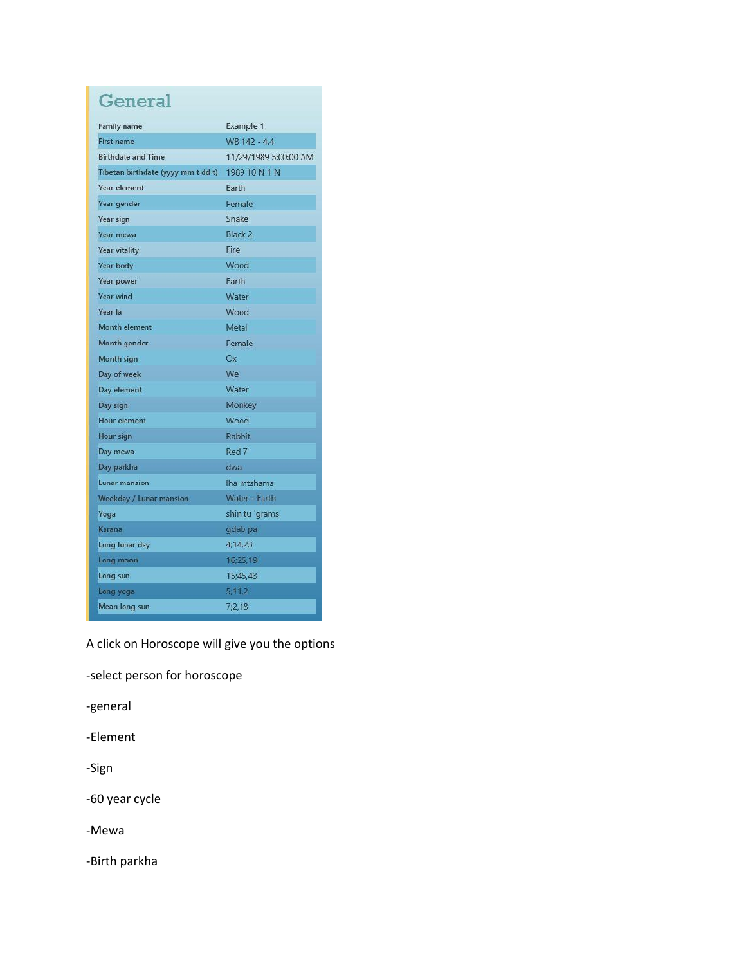## General

| <b>Family name</b>                 | Example 1             |  |  |  |
|------------------------------------|-----------------------|--|--|--|
| <b>First name</b>                  | WB 142 - 4.4          |  |  |  |
| <b>Birthdate and Time</b>          | 11/29/1989 5:00:00 AM |  |  |  |
| Tibetan birthdate (yyyy mm t dd t) | 1989 10 N 1 N         |  |  |  |
| <b>Year element</b>                | Farth                 |  |  |  |
| Year gender                        | Female                |  |  |  |
| Year sign                          | Snake                 |  |  |  |
| <b>Year mewa</b>                   | Black <sub>2</sub>    |  |  |  |
| <b>Year vitality</b>               | Fire                  |  |  |  |
| <b>Year body</b>                   | Wood                  |  |  |  |
| Year power                         | Earth                 |  |  |  |
| <b>Year wind</b>                   | Water                 |  |  |  |
| Year la                            | Wood                  |  |  |  |
| Month element                      | Metal                 |  |  |  |
| Month gender                       | Female                |  |  |  |
| Month sign                         | Ox                    |  |  |  |
| Day of week                        | We                    |  |  |  |
| Day element                        | Water                 |  |  |  |
| Day sign                           | Monkey                |  |  |  |
| <b>Hour element</b>                | Wood                  |  |  |  |
| Hour sign                          | Rabbit                |  |  |  |
| Day mewa                           | Red 7                 |  |  |  |
| Day parkha                         | dwa                   |  |  |  |
| Lunar mansion                      | lha mtshams           |  |  |  |
| Weekday / Lunar mansion            | Water - Earth         |  |  |  |
| Yoga                               | shin tu 'grams        |  |  |  |
| Karana                             | gdab pa               |  |  |  |
| Long lunar day                     | 4:14.23               |  |  |  |
| Long moon                          | 16;25,19              |  |  |  |
| Long sun                           | 15:45.43              |  |  |  |
| Long yoga                          | 5:11.2                |  |  |  |
| Mean long sun                      | 7:2.18                |  |  |  |

A click on Horoscope will give you the options

-select person for horoscope

-general

-Element

-Sign

-60 year cycle

-Mewa

-Birth parkha